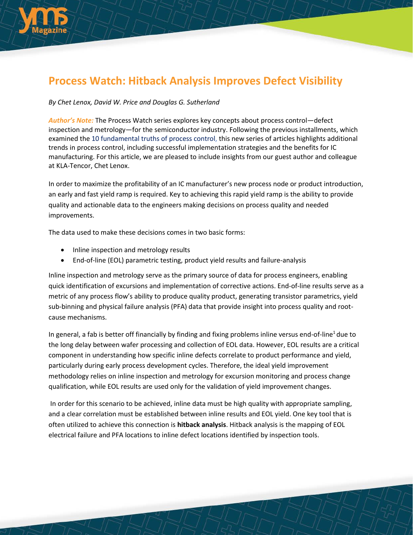

## **Process Watch: Hitback Analysis Improves Defect Visibility**

## *By Chet Lenox, David W. Price and Douglas G. Sutherland*

*Author's Note:* The Process Watch series explores key concepts about process control—defect inspection and metrology—for the semiconductor industry. Following the previous installments, which examined the 10 [fundamental](http://electroiq.com/blog/2014/07/process-watch-the-10-fundamental-truths-of-process-control-for-the-semiconductor-ic-industry/) truths of process control, this new series of articles highlights additional trends in process control, including successful implementation strategies and the benefits for IC manufacturing. For this article, we are pleased to include insights from our guest author and colleague at KLA-Tencor, Chet Lenox.

In order to maximize the profitability of an IC manufacturer's new process node or product introduction, an early and fast yield ramp is required. Key to achieving this rapid yield ramp is the ability to provide quality and actionable data to the engineers making decisions on process quality and needed improvements.

The data used to make these decisions comes in two basic forms:

- Inline inspection and metrology results
- End-of-line (EOL) parametric testing, product yield results and failure-analysis

Inline inspection and metrology serve as the primary source of data for process engineers, enabling quick identification of excursions and implementation of corrective actions. End-of-line results serve as a metric of any process flow's ability to produce quality product, generating transistor parametrics, yield sub-binning and physical failure analysis (PFA) data that provide insight into process quality and rootcause mechanisms.

In general, a fab is better off financially by finding and fixing problems inline versus end-of-line<sup>1</sup> due to the long delay between wafer processing and collection of EOL data. However, EOL results are a critical component in understanding how specific inline defects correlate to product performance and yield, particularly during early process development cycles. Therefore, the ideal yield improvement methodology relies on inline inspection and metrology for excursion monitoring and process change qualification, while EOL results are used only for the validation of yield improvement changes.

In order for this scenario to be achieved, inline data must be high quality with appropriate sampling, and a clear correlation must be established between inline results and EOL yield. One key tool that is often utilized to achieve this connection is **hitback analysis**. Hitback analysis is the mapping of EOL electrical failure and PFA locations to inline defect locations identified by inspection tools.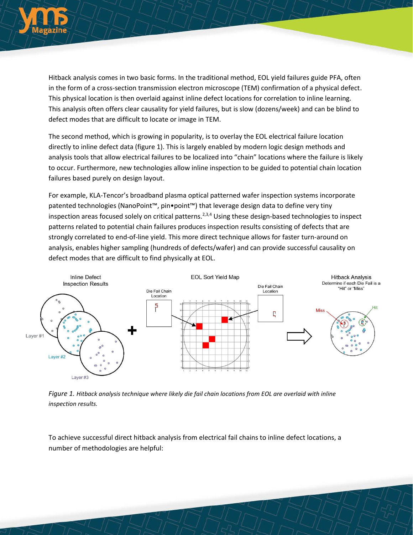

Hitback analysis comes in two basic forms. In the traditional method, EOL yield failures guide PFA, often in the form of a cross-section transmission electron microscope (TEM) confirmation of a physical defect. This physical location is then overlaid against inline defect locations for correlation to inline learning. This analysis often offers clear causality for yield failures, but is slow (dozens/week) and can be blind to defect modes that are difficult to locate or image in TEM.

The second method, which is growing in popularity, is to overlay the EOL electrical failure location directly to inline defect data (figure 1). This is largely enabled by modern logic design methods and analysis tools that allow electrical failures to be localized into "chain" locations where the failure is likely to occur. Furthermore, new technologies allow inline inspection to be guided to potential chain location failures based purely on design layout.

For example, KLA-Tencor's broadband plasma optical patterned wafer inspection systems incorporate patented technologies (NanoPoint™, pin•point™) that leverage design data to define very tiny inspection areas focused solely on critical patterns.<sup>2,3,4</sup> Using these design-based technologies to inspect patterns related to potential chain failures produces inspection results consisting of defects that are strongly correlated to end-of-line yield. This more direct technique allows for faster turn-around on analysis, enables higher sampling (hundreds of defects/wafer) and can provide successful causality on defect modes that are difficult to find physically at EOL.



*Figure 1. Hitback analysis technique where likely die fail chain locations from EOL are overlaid with inline inspection results.*

To achieve successful direct hitback analysis from electrical fail chains to inline defect locations, a number of methodologies are helpful: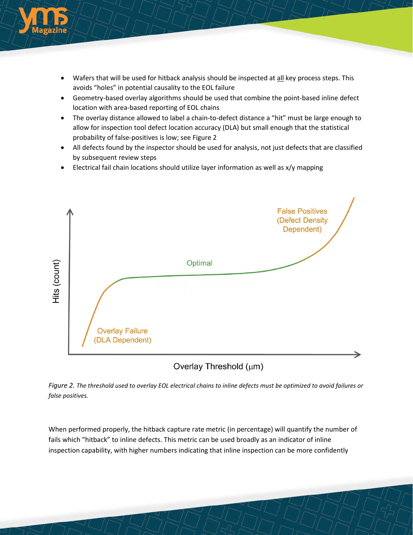

- Wafers that will be used for hitback analysis should be inspected at all key process steps. This avoids "holes" in potential causality to the EOL failure
- Geometry-based overlay algorithms should be used that combine the point-based inline defect location with area-based reporting of EOL chains
- The overlay distance allowed to label a chain-to-defect distance a "hit" must be large enough to allow for inspection tool defect location accuracy (DLA) but small enough that the statistical probability of false-positives is low; see Figure 2
- All defects found by the inspector should be used for analysis, not just defects that are classified by subsequent review steps
- Electrical fail chain locations should utilize layer information as well as x/y mapping



Overlay Threshold (um)

*Figure 2. The threshold used to overlay EOL electrical chains to inline defects must be optimized to avoid failures or false positives.* 

When performed properly, the hitback capture rate metric (in percentage) will quantify the number of fails which "hitback" to inline defects. This metric can be used broadly as an indicator of inline inspection capability, with higher numbers indicating that inline inspection can be more confidently